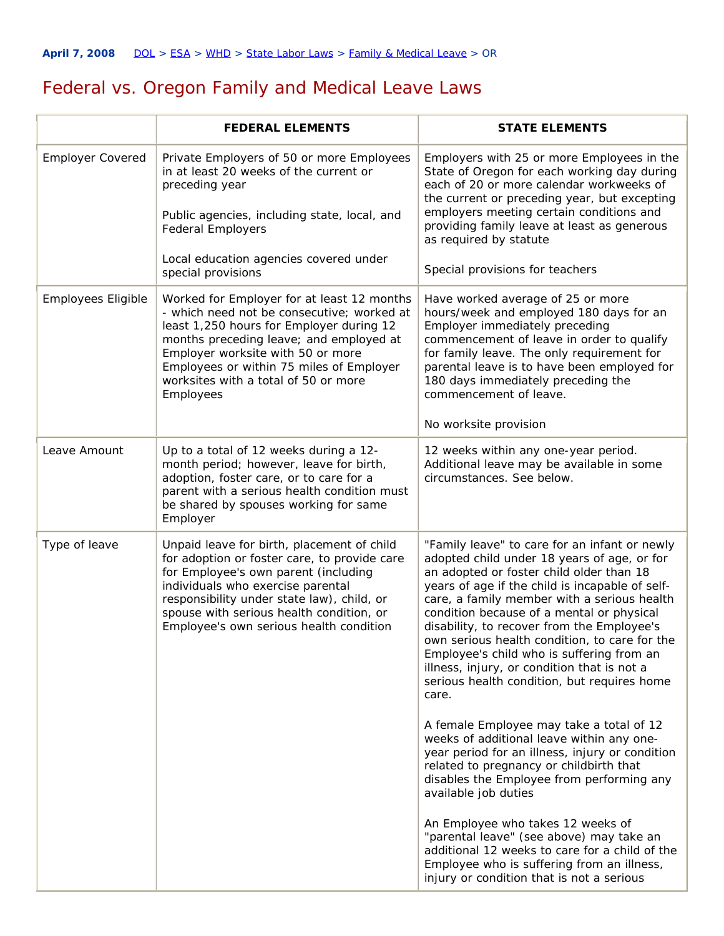## Federal vs. Oregon Family and Medical Leave Laws

|                         | <b>FEDERAL ELEMENTS</b>                                                                                                                                                                                                                                                                                               | <b>STATE ELEMENTS</b>                                                                                                                                                                                                                                                                                                                                                                                                                                                                                                                      |
|-------------------------|-----------------------------------------------------------------------------------------------------------------------------------------------------------------------------------------------------------------------------------------------------------------------------------------------------------------------|--------------------------------------------------------------------------------------------------------------------------------------------------------------------------------------------------------------------------------------------------------------------------------------------------------------------------------------------------------------------------------------------------------------------------------------------------------------------------------------------------------------------------------------------|
| <b>Employer Covered</b> | Private Employers of 50 or more Employees<br>in at least 20 weeks of the current or<br>preceding year<br>Public agencies, including state, local, and<br><b>Federal Employers</b><br>Local education agencies covered under<br>special provisions                                                                     | Employers with 25 or more Employees in the<br>State of Oregon for each working day during<br>each of 20 or more calendar workweeks of<br>the current or preceding year, but excepting<br>employers meeting certain conditions and<br>providing family leave at least as generous<br>as required by statute<br>Special provisions for teachers                                                                                                                                                                                              |
| Employees Eligible      | Worked for Employer for at least 12 months<br>- which need not be consecutive; worked at<br>least 1,250 hours for Employer during 12<br>months preceding leave; and employed at<br>Employer worksite with 50 or more<br>Employees or within 75 miles of Employer<br>worksites with a total of 50 or more<br>Employees | Have worked average of 25 or more<br>hours/week and employed 180 days for an<br>Employer immediately preceding<br>commencement of leave in order to qualify<br>for family leave. The only requirement for<br>parental leave is to have been employed for<br>180 days immediately preceding the<br>commencement of leave.<br>No worksite provision                                                                                                                                                                                          |
| Leave Amount            | Up to a total of 12 weeks during a 12-<br>month period; however, leave for birth,<br>adoption, foster care, or to care for a<br>parent with a serious health condition must<br>be shared by spouses working for same<br>Employer                                                                                      | 12 weeks within any one-year period.<br>Additional leave may be available in some<br>circumstances. See below.                                                                                                                                                                                                                                                                                                                                                                                                                             |
| Type of leave           | Unpaid leave for birth, placement of child<br>for adoption or foster care, to provide care<br>for Employee's own parent (including<br>individuals who exercise parental<br>responsibility under state law), child, or<br>spouse with serious health condition, or<br>Employee's own serious health condition          | "Family leave" to care for an infant or newly<br>adopted child under 18 years of age, or for<br>an adopted or foster child older than 18<br>years of age if the child is incapable of self-<br>care, a family member with a serious health<br>condition because of a mental or physical<br>disability, to recover from the Employee's<br>own serious health condition, to care for the<br>Employee's child who is suffering from an<br>illness, injury, or condition that is not a<br>serious health condition, but requires home<br>care. |
|                         |                                                                                                                                                                                                                                                                                                                       | A female Employee may take a total of 12<br>weeks of additional leave within any one-<br>year period for an illness, injury or condition<br>related to pregnancy or childbirth that<br>disables the Employee from performing any<br>available job duties                                                                                                                                                                                                                                                                                   |
|                         |                                                                                                                                                                                                                                                                                                                       | An Employee who takes 12 weeks of<br>"parental leave" (see above) may take an<br>additional 12 weeks to care for a child of the<br>Employee who is suffering from an illness,<br>injury or condition that is not a serious                                                                                                                                                                                                                                                                                                                 |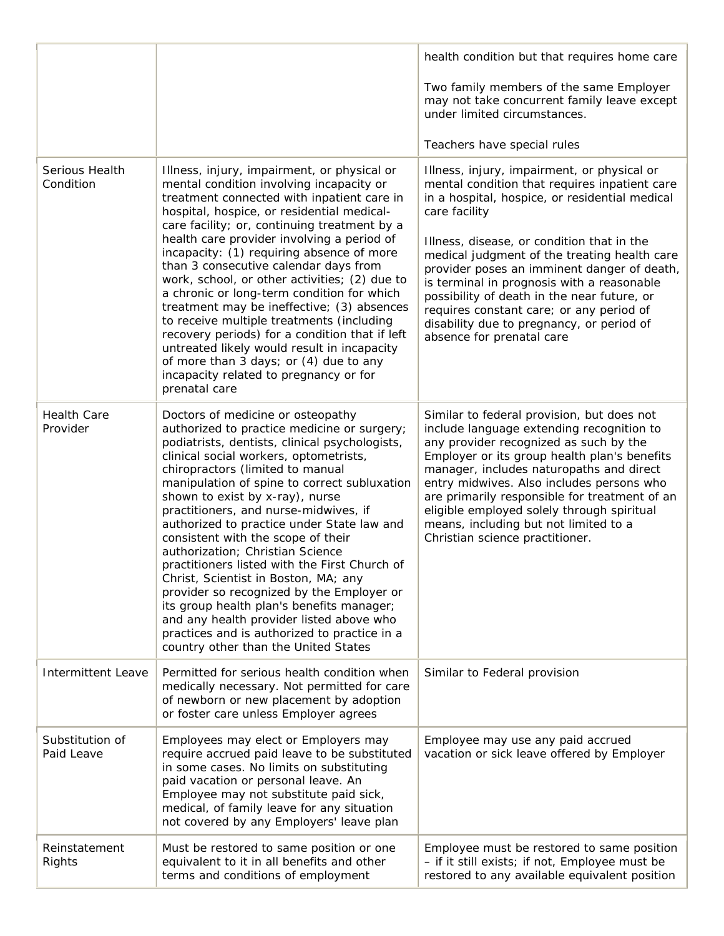|                                |                                                                                                                                                                                                                                                                                                                                                                                                                                                                                                                                                                                                                                                                                                                                                                                             | health condition but that requires home care                                                                                                                                                                                                                                                                                                                                                                                                                                                                                    |
|--------------------------------|---------------------------------------------------------------------------------------------------------------------------------------------------------------------------------------------------------------------------------------------------------------------------------------------------------------------------------------------------------------------------------------------------------------------------------------------------------------------------------------------------------------------------------------------------------------------------------------------------------------------------------------------------------------------------------------------------------------------------------------------------------------------------------------------|---------------------------------------------------------------------------------------------------------------------------------------------------------------------------------------------------------------------------------------------------------------------------------------------------------------------------------------------------------------------------------------------------------------------------------------------------------------------------------------------------------------------------------|
|                                |                                                                                                                                                                                                                                                                                                                                                                                                                                                                                                                                                                                                                                                                                                                                                                                             | Two family members of the same Employer<br>may not take concurrent family leave except<br>under limited circumstances.                                                                                                                                                                                                                                                                                                                                                                                                          |
|                                |                                                                                                                                                                                                                                                                                                                                                                                                                                                                                                                                                                                                                                                                                                                                                                                             | Teachers have special rules                                                                                                                                                                                                                                                                                                                                                                                                                                                                                                     |
| Serious Health<br>Condition    | Illness, injury, impairment, or physical or<br>mental condition involving incapacity or<br>treatment connected with inpatient care in<br>hospital, hospice, or residential medical-<br>care facility; or, continuing treatment by a<br>health care provider involving a period of<br>incapacity: (1) requiring absence of more<br>than 3 consecutive calendar days from<br>work, school, or other activities; (2) due to<br>a chronic or long-term condition for which<br>treatment may be ineffective; (3) absences<br>to receive multiple treatments (including<br>recovery periods) for a condition that if left<br>untreated likely would result in incapacity<br>of more than 3 days; or (4) due to any<br>incapacity related to pregnancy or for<br>prenatal care                     | Illness, injury, impairment, or physical or<br>mental condition that requires inpatient care<br>in a hospital, hospice, or residential medical<br>care facility<br>Illness, disease, or condition that in the<br>medical judgment of the treating health care<br>provider poses an imminent danger of death,<br>is terminal in prognosis with a reasonable<br>possibility of death in the near future, or<br>requires constant care; or any period of<br>disability due to pregnancy, or period of<br>absence for prenatal care |
| <b>Health Care</b><br>Provider | Doctors of medicine or osteopathy<br>authorized to practice medicine or surgery;<br>podiatrists, dentists, clinical psychologists,<br>clinical social workers, optometrists,<br>chiropractors (limited to manual<br>manipulation of spine to correct subluxation<br>shown to exist by x-ray), nurse<br>practitioners, and nurse-midwives, if<br>authorized to practice under State law and<br>consistent with the scope of their<br>authorization; Christian Science<br>practitioners listed with the First Church of<br>Christ, Scientist in Boston, MA; any<br>provider so recognized by the Employer or<br>its group health plan's benefits manager;<br>and any health provider listed above who<br>practices and is authorized to practice in a<br>country other than the United States | Similar to federal provision, but does not<br>include language extending recognition to<br>any provider recognized as such by the<br>Employer or its group health plan's benefits<br>manager, includes naturopaths and direct<br>entry midwives. Also includes persons who<br>are primarily responsible for treatment of an<br>eligible employed solely through spiritual<br>means, including but not limited to a<br>Christian science practitioner.                                                                           |
| <b>Intermittent Leave</b>      | Permitted for serious health condition when<br>medically necessary. Not permitted for care<br>of newborn or new placement by adoption<br>or foster care unless Employer agrees                                                                                                                                                                                                                                                                                                                                                                                                                                                                                                                                                                                                              | Similar to Federal provision                                                                                                                                                                                                                                                                                                                                                                                                                                                                                                    |
| Substitution of<br>Paid Leave  | Employees may elect or Employers may<br>require accrued paid leave to be substituted<br>in some cases. No limits on substituting<br>paid vacation or personal leave. An<br>Employee may not substitute paid sick,<br>medical, of family leave for any situation<br>not covered by any Employers' leave plan                                                                                                                                                                                                                                                                                                                                                                                                                                                                                 | Employee may use any paid accrued<br>vacation or sick leave offered by Employer                                                                                                                                                                                                                                                                                                                                                                                                                                                 |
| Reinstatement<br>Rights        | Must be restored to same position or one<br>equivalent to it in all benefits and other<br>terms and conditions of employment                                                                                                                                                                                                                                                                                                                                                                                                                                                                                                                                                                                                                                                                | Employee must be restored to same position<br>- if it still exists; if not, Employee must be<br>restored to any available equivalent position                                                                                                                                                                                                                                                                                                                                                                                   |